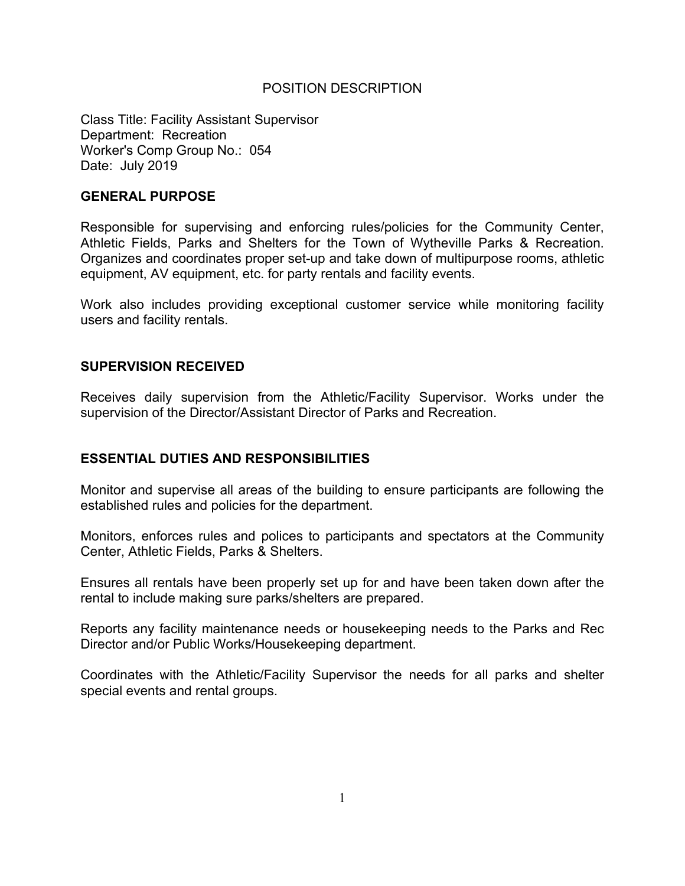## POSITION DESCRIPTION

Class Title: Facility Assistant Supervisor Department: Recreation Worker's Comp Group No.: 054 Date: July 2019

### **GENERAL PURPOSE**

Responsible for supervising and enforcing rules/policies for the Community Center, Athletic Fields, Parks and Shelters for the Town of Wytheville Parks & Recreation. Organizes and coordinates proper set-up and take down of multipurpose rooms, athletic equipment, AV equipment, etc. for party rentals and facility events.

Work also includes providing exceptional customer service while monitoring facility users and facility rentals.

### **SUPERVISION RECEIVED**

Receives daily supervision from the Athletic/Facility Supervisor. Works under the supervision of the Director/Assistant Director of Parks and Recreation.

### **ESSENTIAL DUTIES AND RESPONSIBILITIES**

Monitor and supervise all areas of the building to ensure participants are following the established rules and policies for the department.

Monitors, enforces rules and polices to participants and spectators at the Community Center, Athletic Fields, Parks & Shelters.

Ensures all rentals have been properly set up for and have been taken down after the rental to include making sure parks/shelters are prepared.

Reports any facility maintenance needs or housekeeping needs to the Parks and Rec Director and/or Public Works/Housekeeping department.

Coordinates with the Athletic/Facility Supervisor the needs for all parks and shelter special events and rental groups.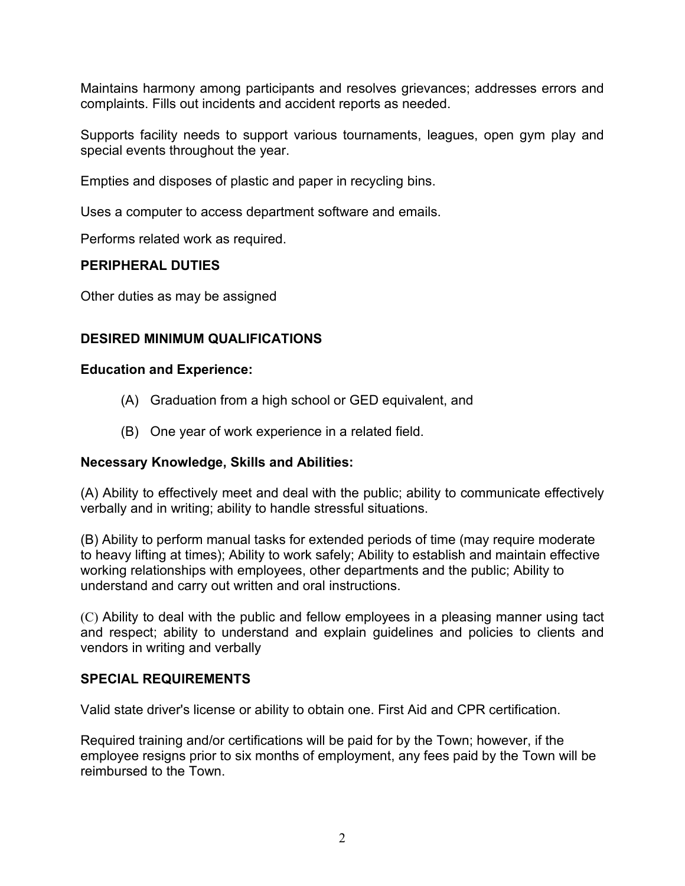Maintains harmony among participants and resolves grievances; addresses errors and complaints. Fills out incidents and accident reports as needed.

Supports facility needs to support various tournaments, leagues, open gym play and special events throughout the year.

Empties and disposes of plastic and paper in recycling bins.

Uses a computer to access department software and emails.

Performs related work as required.

## **PERIPHERAL DUTIES**

Other duties as may be assigned

# **DESIRED MINIMUM QUALIFICATIONS**

## **Education and Experience:**

- (A) Graduation from a high school or GED equivalent, and
- (B) One year of work experience in a related field.

# **Necessary Knowledge, Skills and Abilities:**

(A) Ability to effectively meet and deal with the public; ability to communicate effectively verbally and in writing; ability to handle stressful situations.

(B) Ability to perform manual tasks for extended periods of time (may require moderate to heavy lifting at times); Ability to work safely; Ability to establish and maintain effective working relationships with employees, other departments and the public; Ability to understand and carry out written and oral instructions.

(C) Ability to deal with the public and fellow employees in a pleasing manner using tact and respect; ability to understand and explain guidelines and policies to clients and vendors in writing and verbally

# **SPECIAL REQUIREMENTS**

Valid state driver's license or ability to obtain one. First Aid and CPR certification.

Required training and/or certifications will be paid for by the Town; however, if the employee resigns prior to six months of employment, any fees paid by the Town will be reimbursed to the Town.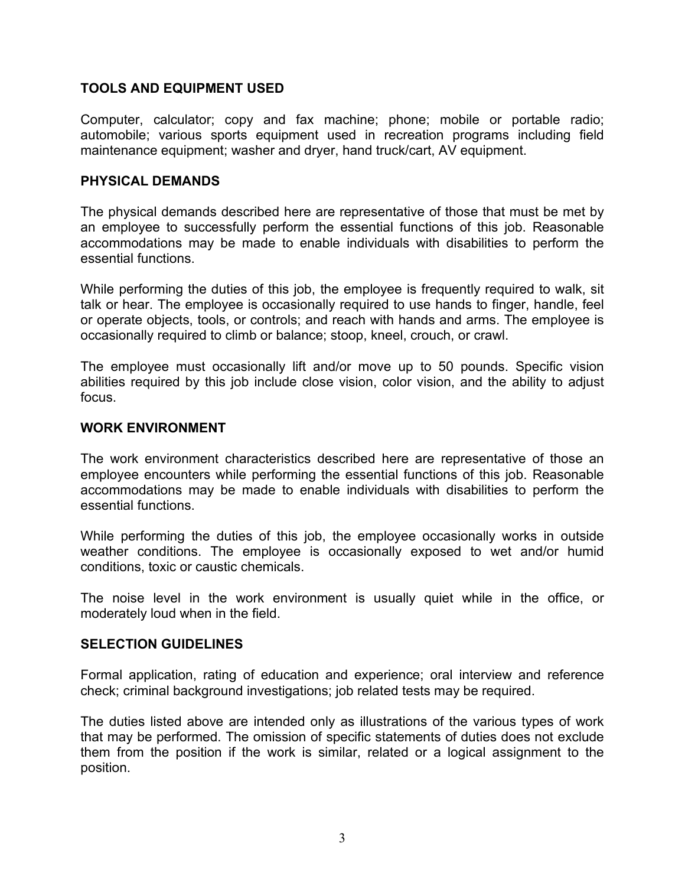# **TOOLS AND EQUIPMENT USED**

Computer, calculator; copy and fax machine; phone; mobile or portable radio; automobile; various sports equipment used in recreation programs including field maintenance equipment; washer and dryer, hand truck/cart, AV equipment.

### **PHYSICAL DEMANDS**

The physical demands described here are representative of those that must be met by an employee to successfully perform the essential functions of this job. Reasonable accommodations may be made to enable individuals with disabilities to perform the essential functions.

While performing the duties of this job, the employee is frequently required to walk, sit talk or hear. The employee is occasionally required to use hands to finger, handle, feel or operate objects, tools, or controls; and reach with hands and arms. The employee is occasionally required to climb or balance; stoop, kneel, crouch, or crawl.

The employee must occasionally lift and/or move up to 50 pounds. Specific vision abilities required by this job include close vision, color vision, and the ability to adjust focus.

### **WORK ENVIRONMENT**

The work environment characteristics described here are representative of those an employee encounters while performing the essential functions of this job. Reasonable accommodations may be made to enable individuals with disabilities to perform the essential functions.

While performing the duties of this job, the employee occasionally works in outside weather conditions. The employee is occasionally exposed to wet and/or humid conditions, toxic or caustic chemicals.

The noise level in the work environment is usually quiet while in the office, or moderately loud when in the field.

### **SELECTION GUIDELINES**

Formal application, rating of education and experience; oral interview and reference check; criminal background investigations; job related tests may be required.

The duties listed above are intended only as illustrations of the various types of work that may be performed. The omission of specific statements of duties does not exclude them from the position if the work is similar, related or a logical assignment to the position.